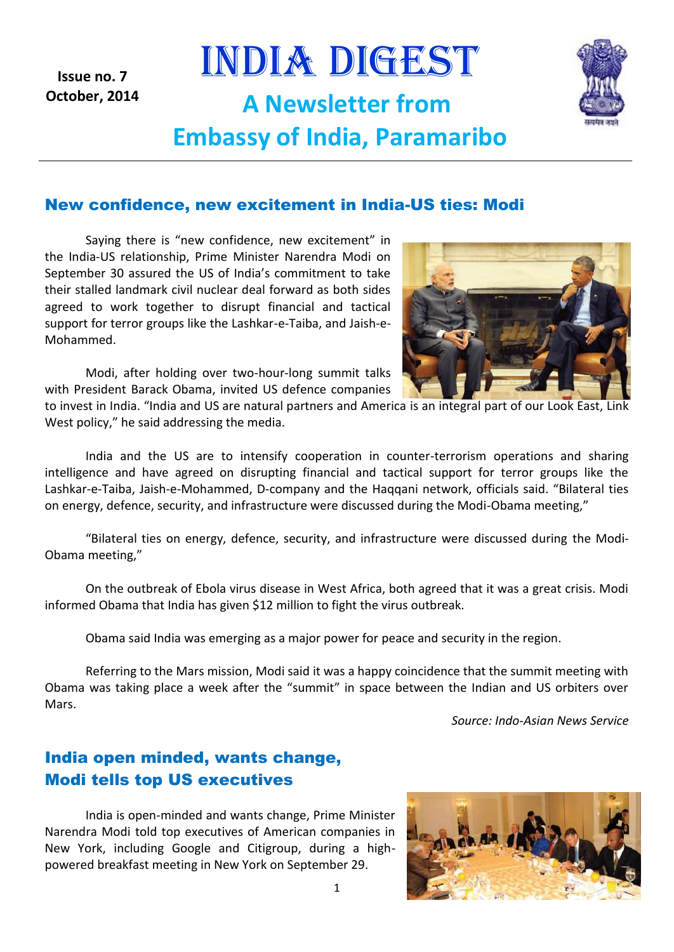**Issue no. 7 October, 2014**

# INDIA DIGEST **A Newsletter from Embassy of India, Paramaribo**



#### New confidence, new excitement in India-US ties: Modi

Saying there is "new confidence, new excitement" in the India-US relationship, Prime Minister Narendra Modi on September 30 assured the US of India's commitment to take their stalled landmark civil nuclear deal forward as both sides agreed to work together to disrupt financial and tactical support for terror groups like the Lashkar-e-Taiba, and Jaish-e-Mohammed.

Modi, after holding over two-hour-long summit talks with President Barack Obama, invited US defence companies

to invest in India. "India and US are natural partners and America is an integral part of our Look East, Link West policy," he said addressing the media.

India and the US are to intensify cooperation in counter-terrorism operations and sharing intelligence and have agreed on disrupting financial and tactical support for terror groups like the Lashkar-e-Taiba, Jaish-e-Mohammed, D-company and the Haqqani network, officials said. "Bilateral ties on energy, defence, security, and infrastructure were discussed during the Modi-Obama meeting,"

"Bilateral ties on energy, defence, security, and infrastructure were discussed during the Modi-Obama meeting,"

On the outbreak of Ebola virus disease in West Africa, both agreed that it was a great crisis. Modi informed Obama that India has given \$12 million to fight the virus outbreak.

Obama said India was emerging as a major power for peace and security in the region.

Referring to the Mars mission, Modi said it was a happy coincidence that the summit meeting with Obama was taking place a week after the "summit" in space between the Indian and US orbiters over Mars.

*Source: Indo-Asian News Service*

#### India open minded, wants change, Modi tells top US executives

India is open-minded and wants change, Prime Minister Narendra Modi told top executives of American companies in New York, including Google and Citigroup, during a highpowered breakfast meeting in New York on September 29.



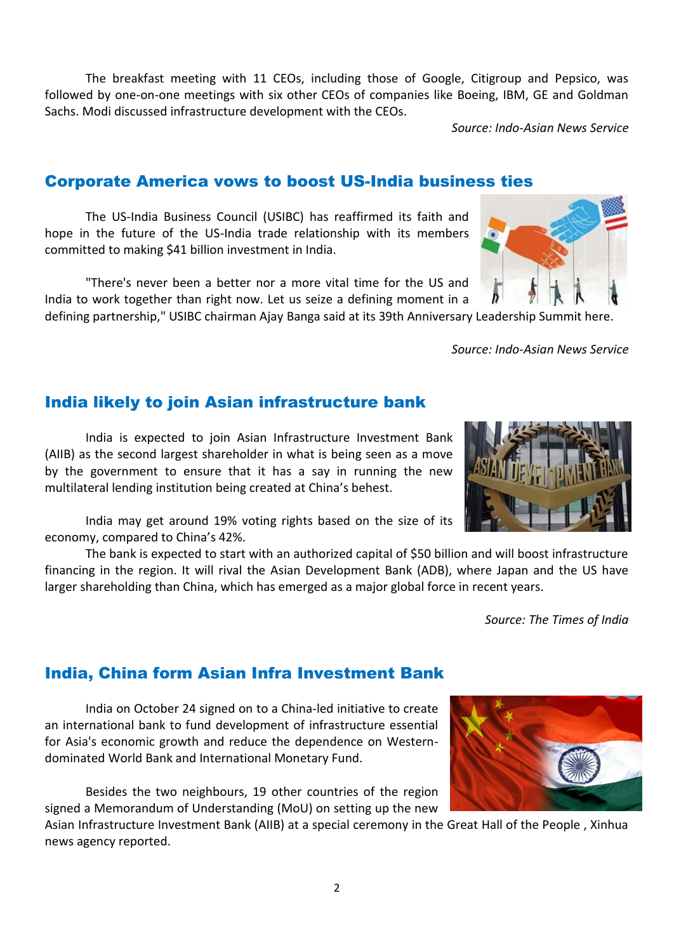The breakfast meeting with 11 CEOs, including those of Google, Citigroup and Pepsico, was followed by one-on-one meetings with six other CEOs of companies like Boeing, IBM, GE and Goldman Sachs. Modi discussed infrastructure development with the CEOs.

*Source: Indo-Asian News Service*

#### Corporate America vows to boost US-India business ties

The US-India Business Council (USIBC) has reaffirmed its faith and hope in the future of the US-India trade relationship with its members committed to making \$41 billion investment in India.

"There's never been a better nor a more vital time for the US and India to work together than right now. Let us seize a defining moment in a

defining partnership," USIBC chairman Ajay Banga said at its 39th Anniversary Leadership Summit here.

*Source: Indo-Asian News Service*

#### India likely to join Asian infrastructure bank

India is expected to join Asian Infrastructure Investment Bank (AIIB) as the second largest shareholder in what is being seen as a move by the government to ensure that it has a say in running the new multilateral lending institution being created at China's behest.

India may get around 19% voting rights based on the size of its economy, compared to China's 42%.

The bank is expected to start with an authorized capital of \$50 billion and will boost infrastructure financing in the region. It will rival the Asian Development Bank (ADB), where Japan and the US have larger shareholding than China, which has emerged as a major global force in recent years.

*Source: The Times of India*

dominated World Bank and International Monetary Fund.

Besides the two neighbours, 19 other countries of the region signed a Memorandum of Understanding (MoU) on setting up the new

India, China form Asian Infra Investment Bank

an international bank to fund development of infrastructure essential for Asia's economic growth and reduce the dependence on Western-

India on October 24 signed on to a China-led initiative to create

Asian Infrastructure Investment Bank (AIIB) at a special ceremony in the Great Hall of the People , Xinhua news agency reported.





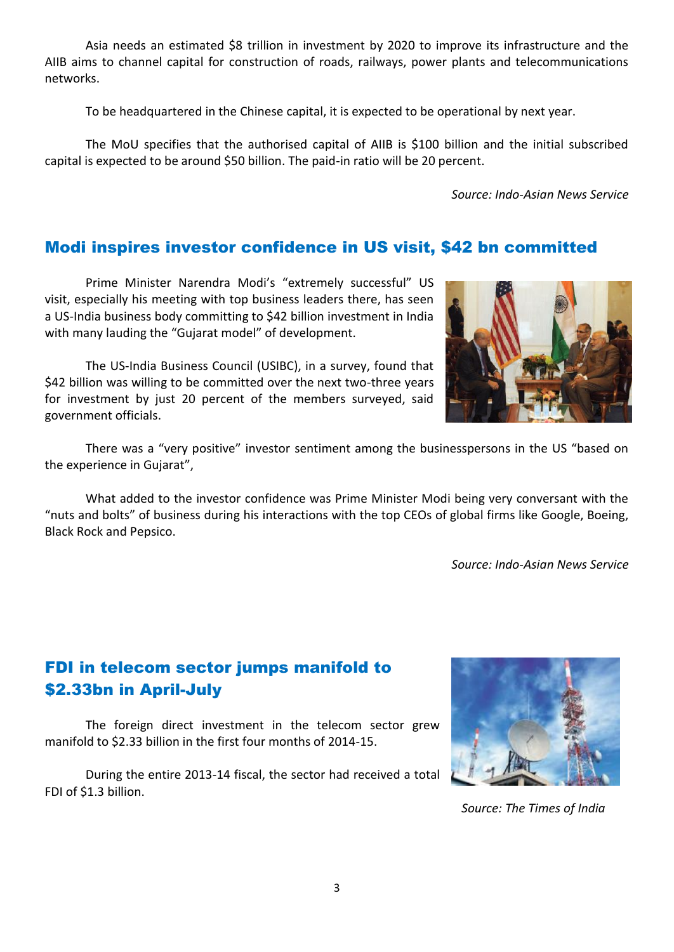Asia needs an estimated \$8 trillion in investment by 2020 to improve its infrastructure and the AIIB aims to channel capital for construction of roads, railways, power plants and telecommunications networks.

To be headquartered in the Chinese capital, it is expected to be operational by next year.

The MoU specifies that the authorised capital of AIIB is \$100 billion and the initial subscribed capital is expected to be around \$50 billion. The paid-in ratio will be 20 percent.

*Source: Indo-Asian News Service*

#### Modi inspires investor confidence in US visit, \$42 bn committed

Prime Minister Narendra Modi's "extremely successful" US visit, especially his meeting with top business leaders there, has seen a US-India business body committing to \$42 billion investment in India with many lauding the "Gujarat model" of development.

The US-India Business Council (USIBC), in a survey, found that \$42 billion was willing to be committed over the next two-three years for investment by just 20 percent of the members surveyed, said government officials.

There was a "very positive" investor sentiment among the businesspersons in the US "based on the experience in Gujarat",

What added to the investor confidence was Prime Minister Modi being very conversant with the "nuts and bolts" of business during his interactions with the top CEOs of global firms like Google, Boeing, Black Rock and Pepsico.

*Source: Indo-Asian News Service*

#### FDI in telecom sector jumps manifold to \$2.33bn in April-July

The foreign direct investment in the telecom sector grew manifold to \$2.33 billion in the first four months of 2014-15.

During the entire 2013-14 fiscal, the sector had received a total FDI of \$1.3 billion.



 *Source: The Times of India*

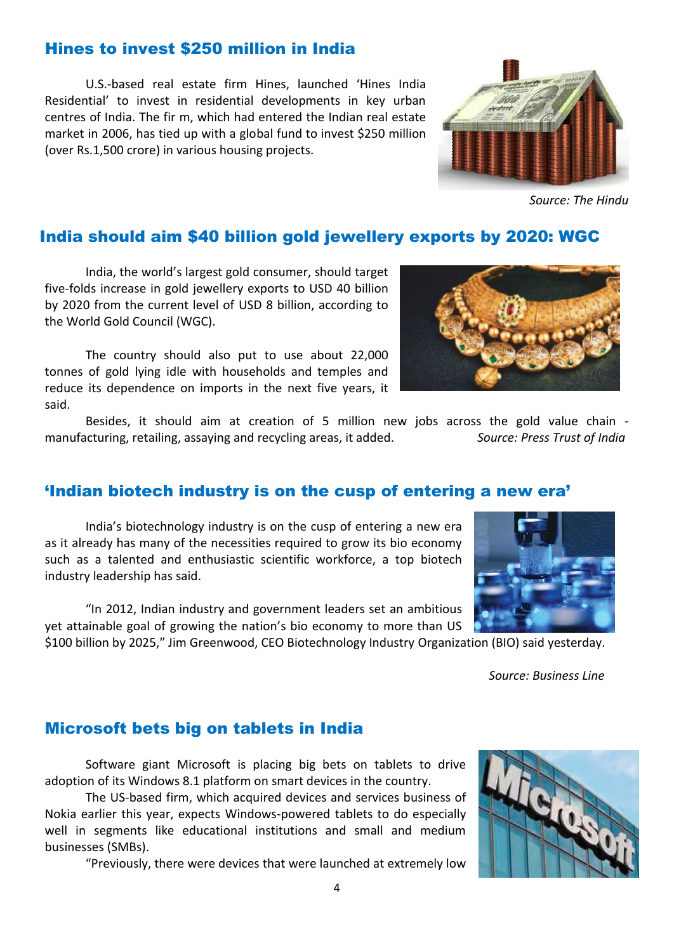### Hines to invest \$250 million in India

U.S.-based real estate firm Hines, launched 'Hines India Residential' to invest in residential developments in key urban centres of India. The fir m, which had entered the Indian real estate market in 2006, has tied up with a global fund to invest \$250 million (over Rs.1,500 crore) in various housing projects.

#### India should aim \$40 billion gold jewellery exports by 2020: WGC

India, the world's largest gold consumer, should target five-folds increase in gold jewellery exports to USD 40 billion by 2020 from the current level of USD 8 billion, according to the World Gold Council (WGC).

The country should also put to use about 22,000 tonnes of gold lying idle with households and temples and reduce its dependence on imports in the next five years, it said.

Besides, it should aim at creation of 5 million new jobs across the gold value chain manufacturing, retailing, assaying and recycling areas, it added. *Source: Press Trust of India*

#### 'Indian biotech industry is on the cusp of entering a new era'

India's biotechnology industry is on the cusp of entering a new era as it already has many of the necessities required to grow its bio economy such as a talented and enthusiastic scientific workforce, a top biotech industry leadership has said.

"In 2012, Indian industry and government leaders set an ambitious yet attainable goal of growing the nation's bio economy to more than US

\$100 billion by 2025," Jim Greenwood, CEO Biotechnology Industry Organization (BIO) said yesterday.

 *Source: Business Line*

#### Microsoft bets big on tablets in India

Software giant Microsoft is placing big bets on tablets to drive adoption of its Windows 8.1 platform on smart devices in the country.

The US-based firm, which acquired devices and services business of Nokia earlier this year, expects Windows-powered tablets to do especially well in segments like educational institutions and small and medium businesses (SMBs).

"Previously, there were devices that were launched at extremely low









*Source: The Hindu*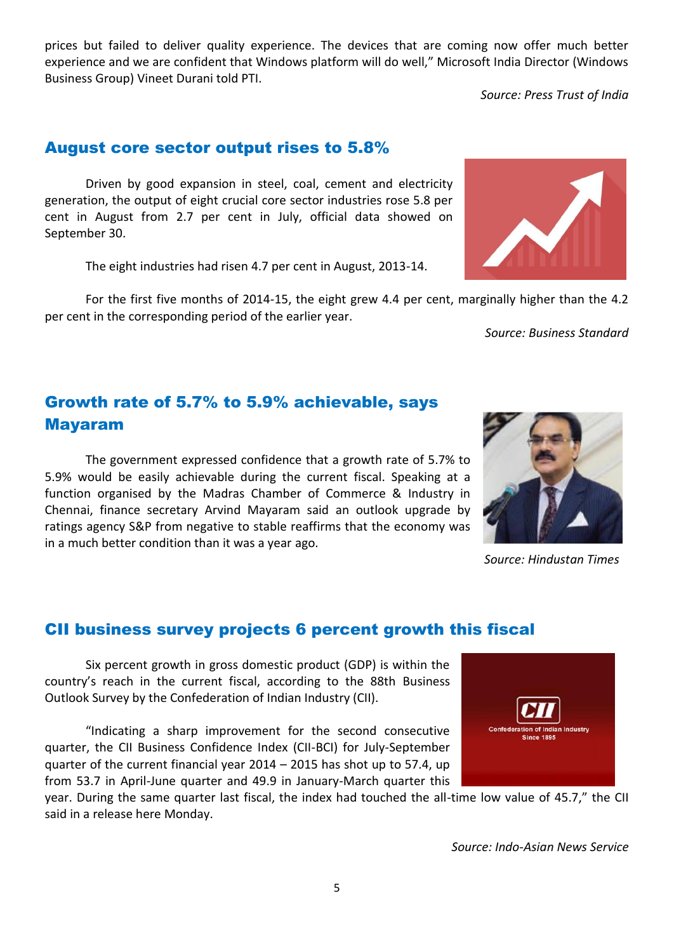prices but failed to deliver quality experience. The devices that are coming now offer much better experience and we are confident that Windows platform will do well," Microsoft India Director (Windows Business Group) Vineet Durani told PTI.

*Source: Press Trust of India*

August core sector output rises to 5.8%

Driven by good expansion in steel, coal, cement and electricity generation, the output of eight crucial core sector industries rose 5.8 per cent in August from 2.7 per cent in July, official data showed on September 30.

The eight industries had risen 4.7 per cent in August, 2013-14.

For the first five months of 2014-15, the eight grew 4.4 per cent, marginally higher than the 4.2 per cent in the corresponding period of the earlier year.

*Source: Business Standard*

#### Growth rate of 5.7% to 5.9% achievable, says Mayaram

The government expressed confidence that a growth rate of 5.7% to 5.9% would be easily achievable during the current fiscal. Speaking at a function organised by the Madras Chamber of Commerce & Industry in Chennai, finance secretary Arvind Mayaram said an outlook upgrade by ratings agency S&P from negative to stable reaffirms that the economy was in a much better condition than it was a year ago.

#### CII business survey projects 6 percent growth this fiscal

Six percent growth in gross domestic product (GDP) is within the country's reach in the current fiscal, according to the 88th Business Outlook Survey by the Confederation of Indian Industry (CII).

"Indicating a sharp improvement for the second consecutive quarter, the CII Business Confidence Index (CII-BCI) for July-September quarter of the current financial year 2014 – 2015 has shot up to 57.4, up from 53.7 in April-June quarter and 49.9 in January-March quarter this

year. During the same quarter last fiscal, the index had touched the all-time low value of 45.7," the CII said in a release here Monday.

*Source: Indo-Asian News Service*





 *Source: Hindustan Times*

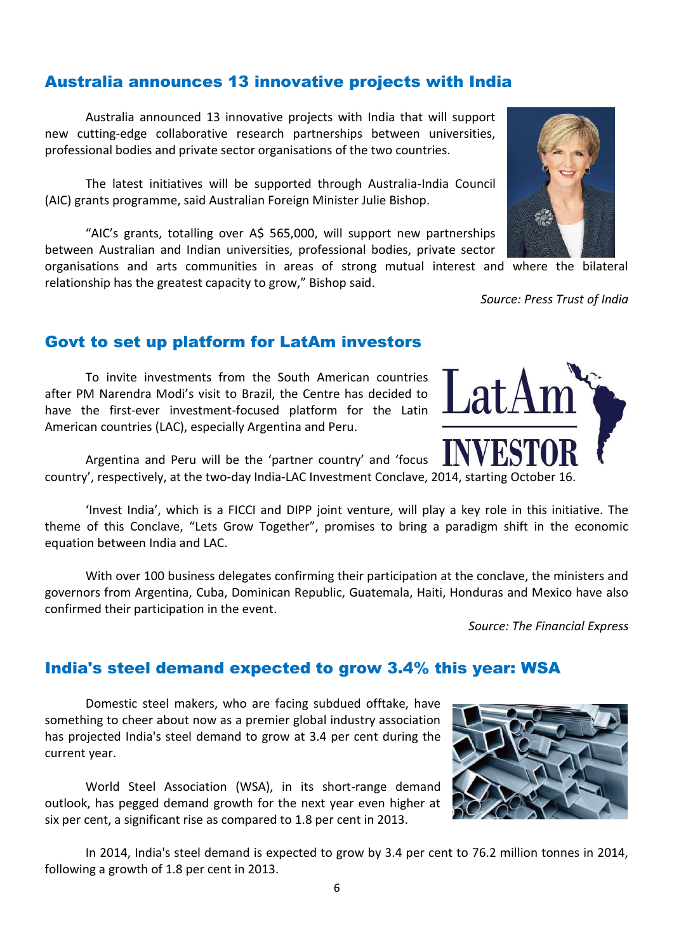#### Australia announces 13 innovative projects with India

Australia announced 13 innovative projects with India that will support new cutting-edge collaborative research partnerships between universities, professional bodies and private sector organisations of the two countries.

The latest initiatives will be supported through Australia-India Council (AIC) grants programme, said Australian Foreign Minister Julie Bishop.

"AIC's grants, totalling over A\$ 565,000, will support new partnerships between Australian and Indian universities, professional bodies, private sector

organisations and arts communities in areas of strong mutual interest and where the bilateral relationship has the greatest capacity to grow," Bishop said.

*Source: Press Trust of India*

#### Govt to set up platform for LatAm investors

To invite investments from the South American countries after PM Narendra Modi's visit to Brazil, the Centre has decided to have the first-ever investment-focused platform for the Latin American countries (LAC), especially Argentina and Peru.

Argentina and Peru will be the 'partner country' and 'focus country', respectively, at the two-day India-LAC Investment Conclave, 2014, starting October 16.

'Invest India', which is a FICCI and DIPP joint venture, will play a key role in this initiative. The theme of this Conclave, "Lets Grow Together", promises to bring a paradigm shift in the economic equation between India and LAC.

With over 100 business delegates confirming their participation at the conclave, the ministers and governors from Argentina, Cuba, Dominican Republic, Guatemala, Haiti, Honduras and Mexico have also confirmed their participation in the event.

*Source: The Financial Express*

In 2014, India's steel demand is expected to grow by 3.4 per cent to 76.2 million tonnes in 2014, following a growth of 1.8 per cent in 2013.

## India's steel demand expected to grow 3.4% this year: WSA

Domestic steel makers, who are facing subdued offtake, have something to cheer about now as a premier global industry association has projected India's steel demand to grow at 3.4 per cent during the current year.

World Steel Association (WSA), in its short-range demand outlook, has pegged demand growth for the next year even higher at six per cent, a significant rise as compared to 1.8 per cent in 2013.





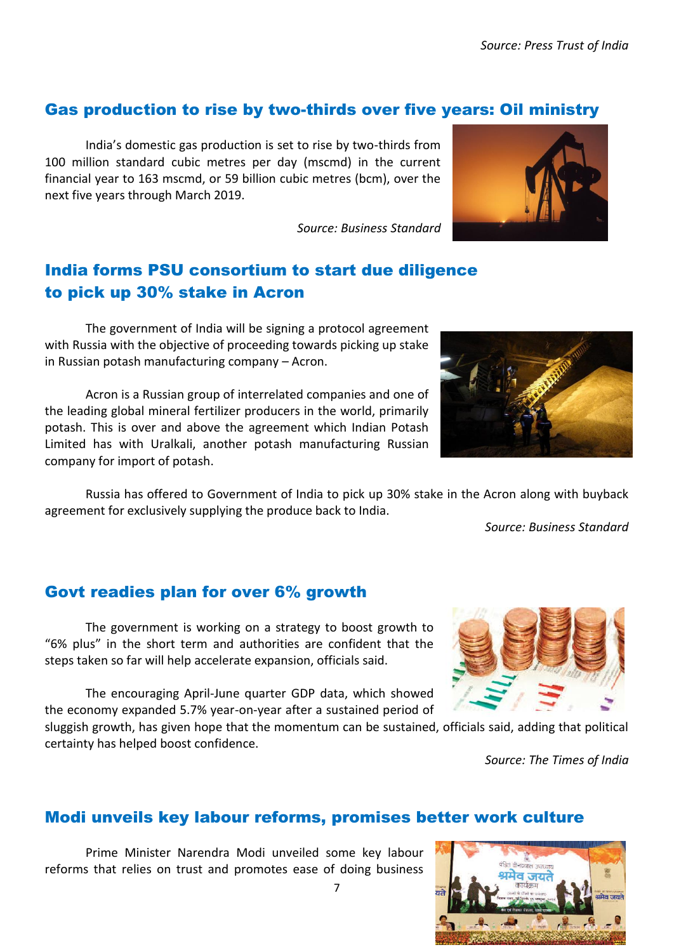#### Gas production to rise by two-thirds over five years: Oil ministry

India's domestic gas production is set to rise by two-thirds from 100 million standard cubic metres per day (mscmd) in the current financial year to 163 mscmd, or 59 billion cubic metres (bcm), over the next five years through March 2019.

*Source: Business Standard*

### India forms PSU consortium to start due diligence to pick up 30% stake in Acron

The government of India will be signing a protocol agreement with Russia with the objective of proceeding towards picking up stake in Russian potash manufacturing company – Acron.

Acron is a Russian group of interrelated companies and one of the leading global mineral fertilizer producers in the world, primarily potash. This is over and above the agreement which Indian Potash Limited has with Uralkali, another potash manufacturing Russian company for import of potash.

Russia has offered to Government of India to pick up 30% stake in the Acron along with buyback agreement for exclusively supplying the produce back to India.

*Source: Business Standard*

#### Govt readies plan for over 6% growth

The government is working on a strategy to boost growth to "6% plus" in the short term and authorities are confident that the steps taken so far will help accelerate expansion, officials said.

The encouraging April-June quarter GDP data, which showed the economy expanded 5.7% year-on-year after a sustained period of

sluggish growth, has given hope that the momentum can be sustained, officials said, adding that political certainty has helped boost confidence.

*Source: The Times of India*

#### Modi unveils key labour reforms, promises better work culture

Prime Minister Narendra Modi unveiled some key labour reforms that relies on trust and promotes ease of doing business









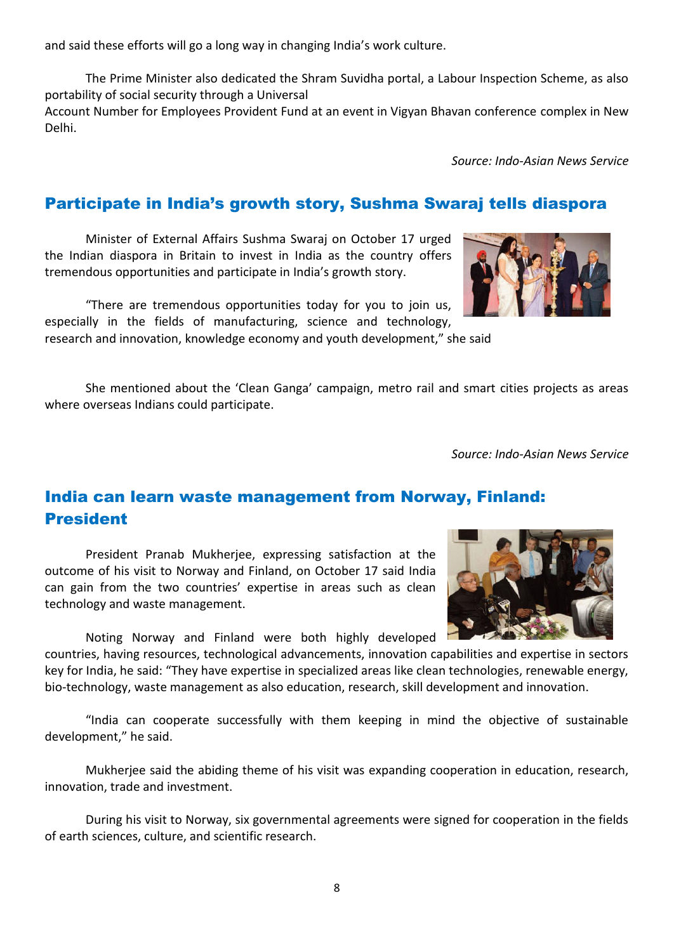and said these efforts will go a long way in changing India's work culture.

The Prime Minister also dedicated the Shram Suvidha portal, a Labour Inspection Scheme, as also portability of social security through a Universal

Account Number for Employees Provident Fund at an event in Vigyan Bhavan conference complex in New Delhi.

*Source: Indo-Asian News Service*

#### Participate in India's growth story, Sushma Swaraj tells diaspora

Minister of External Affairs Sushma Swaraj on October 17 urged the Indian diaspora in Britain to invest in India as the country offers tremendous opportunities and participate in India's growth story.

"There are tremendous opportunities today for you to join us, especially in the fields of manufacturing, science and technology,

research and innovation, knowledge economy and youth development," she said

She mentioned about the 'Clean Ganga' campaign, metro rail and smart cities projects as areas where overseas Indians could participate.

*Source: Indo-Asian News Service*

#### India can learn waste management from Norway, Finland: President

President Pranab Mukherjee, expressing satisfaction at the outcome of his visit to Norway and Finland, on October 17 said India can gain from the two countries' expertise in areas such as clean technology and waste management.

Noting Norway and Finland were both highly developed

countries, having resources, technological advancements, innovation capabilities and expertise in sectors key for India, he said: "They have expertise in specialized areas like clean technologies, renewable energy, bio-technology, waste management as also education, research, skill development and innovation.

"India can cooperate successfully with them keeping in mind the objective of sustainable development," he said.

Mukherjee said the abiding theme of his visit was expanding cooperation in education, research, innovation, trade and investment.

During his visit to Norway, six governmental agreements were signed for cooperation in the fields of earth sciences, culture, and scientific research.



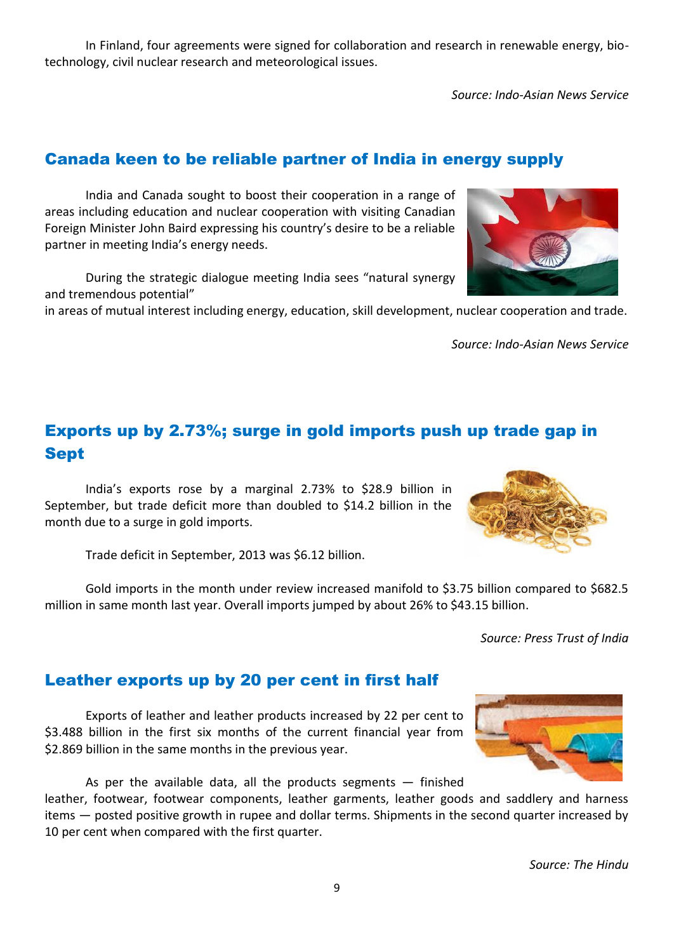In Finland, four agreements were signed for collaboration and research in renewable energy, biotechnology, civil nuclear research and meteorological issues.

*Source: Indo-Asian News Service*

#### Canada keen to be reliable partner of India in energy supply

India and Canada sought to boost their cooperation in a range of areas including education and nuclear cooperation with visiting Canadian Foreign Minister John Baird expressing his country's desire to be a reliable partner in meeting India's energy needs.

During the strategic dialogue meeting India sees "natural synergy and tremendous potential"

in areas of mutual interest including energy, education, skill development, nuclear cooperation and trade.

Exports up by 2.73%; surge in gold imports push up trade gap in Sept

India's exports rose by a marginal 2.73% to \$28.9 billion in September, but trade deficit more than doubled to \$14.2 billion in the month due to a surge in gold imports.

Trade deficit in September, 2013 was \$6.12 billion.

Gold imports in the month under review increased manifold to \$3.75 billion compared to \$682.5 million in same month last year. Overall imports jumped by about 26% to \$43.15 billion.

*Source: Press Trust of India*

#### Leather exports up by 20 per cent in first half

Exports of leather and leather products increased by 22 per cent to \$3.488 billion in the first six months of the current financial year from \$2.869 billion in the same months in the previous year.

As per the available data, all the products segments  $-$  finished

leather, footwear, footwear components, leather garments, leather goods and saddlery and harness items — posted positive growth in rupee and dollar terms. Shipments in the second quarter increased by 10 per cent when compared with the first quarter.



*Source: Indo-Asian News Service*





9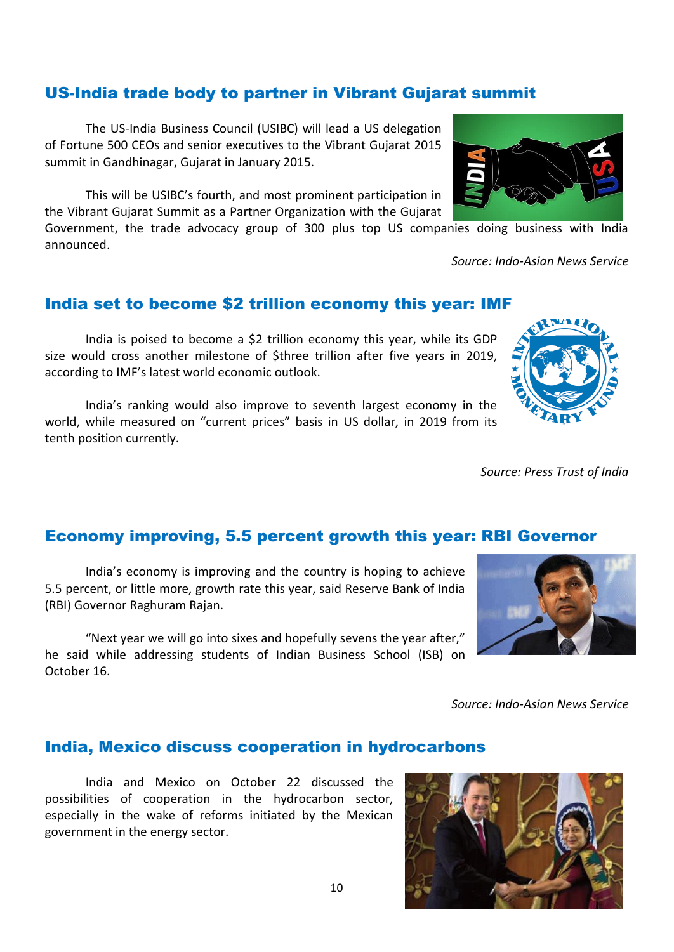#### US-India trade body to partner in Vibrant Gujarat summit

The US-India Business Council (USIBC) will lead a US delegation of Fortune 500 CEOs and senior executives to the Vibrant Gujarat 2015 summit in Gandhinagar, Gujarat in January 2015.

This will be USIBC's fourth, and most prominent participation in the Vibrant Gujarat Summit as a Partner Organization with the Gujarat

Government, the trade advocacy group of 300 plus top US companies doing business with India announced.

#### India set to become \$2 trillion economy this year: IMF

India is poised to become a \$2 trillion economy this year, while its GDP size would cross another milestone of \$three trillion after five years in 2019, according to IMF's latest world economic outlook.

India's ranking would also improve to seventh largest economy in the world, while measured on "current prices" basis in US dollar, in 2019 from its tenth position currently.

Economy improving, 5.5 percent growth this year: RBI Governor

India's economy is improving and the country is hoping to achieve 5.5 percent, or little more, growth rate this year, said Reserve Bank of India (RBI) Governor Raghuram Rajan.

"Next year we will go into sixes and hopefully sevens the year after," he said while addressing students of Indian Business School (ISB) on October 16.

*Source: Indo-Asian News Service*

#### India, Mexico discuss cooperation in hydrocarbons

India and Mexico on October 22 discussed the possibilities of cooperation in the hydrocarbon sector, especially in the wake of reforms initiated by the Mexican government in the energy sector.

#### 10







*Source: Press Trust of India*



*Source: Indo-Asian News Service*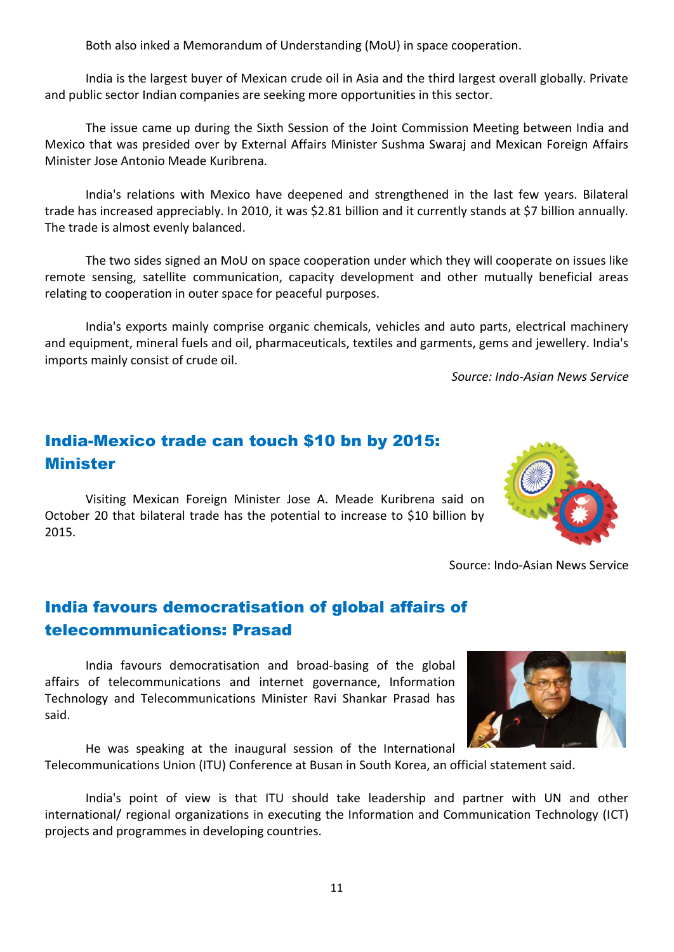Both also inked a Memorandum of Understanding (MoU) in space cooperation.

India is the largest buyer of Mexican crude oil in Asia and the third largest overall globally. Private and public sector Indian companies are seeking more opportunities in this sector.

The issue came up during the Sixth Session of the Joint Commission Meeting between India and Mexico that was presided over by External Affairs Minister Sushma Swaraj and Mexican Foreign Affairs Minister Jose Antonio Meade Kuribrena.

India's relations with Mexico have deepened and strengthened in the last few years. Bilateral trade has increased appreciably. In 2010, it was \$2.81 billion and it currently stands at \$7 billion annually. The trade is almost evenly balanced.

The two sides signed an MoU on space cooperation under which they will cooperate on issues like remote sensing, satellite communication, capacity development and other mutually beneficial areas relating to cooperation in outer space for peaceful purposes.

India's exports mainly comprise organic chemicals, vehicles and auto parts, electrical machinery and equipment, mineral fuels and oil, pharmaceuticals, textiles and garments, gems and jewellery. India's imports mainly consist of crude oil.

*Source: Indo-Asian News Service*

#### India-Mexico trade can touch \$10 bn by 2015: Minister

Visiting Mexican Foreign Minister Jose A. Meade Kuribrena said on October 20 that bilateral trade has the potential to increase to \$10 billion by 2015.



Source: Indo-Asian News Service

#### India favours democratisation of global affairs of telecommunications: Prasad

India favours democratisation and broad-basing of the global affairs of telecommunications and internet governance, Information Technology and Telecommunications Minister Ravi Shankar Prasad has said.



He was speaking at the inaugural session of the International Telecommunications Union (ITU) Conference at Busan in South Korea, an official statement said.

India's point of view is that ITU should take leadership and partner with UN and other international/ regional organizations in executing the Information and Communication Technology (ICT) projects and programmes in developing countries.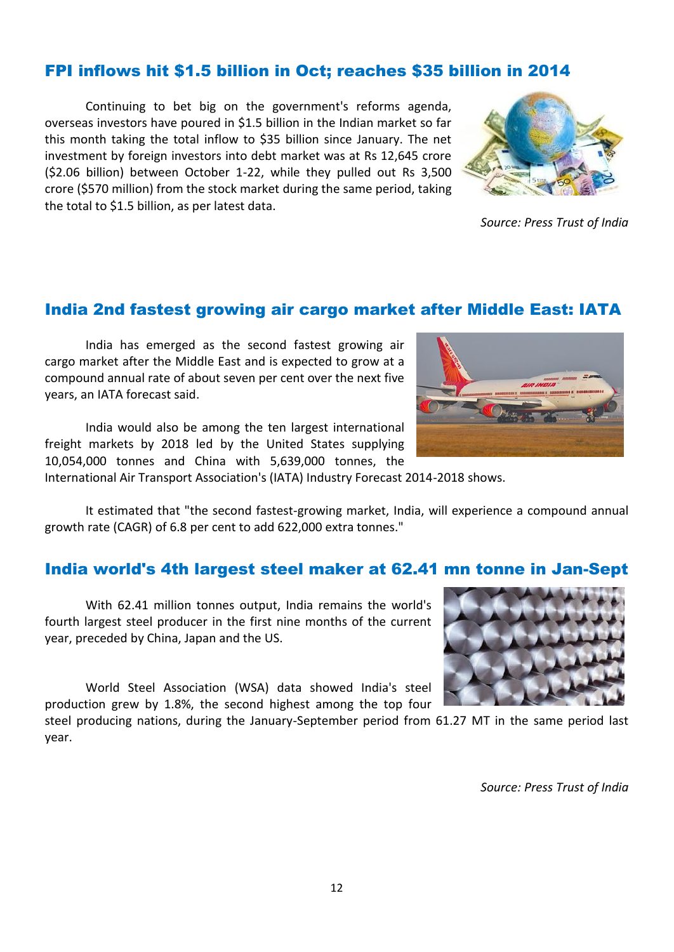#### FPI inflows hit \$1.5 billion in Oct; reaches \$35 billion in 2014

Continuing to bet big on the government's reforms agenda, overseas investors have poured in \$1.5 billion in the Indian market so far this month taking the total inflow to \$35 billion since January. The net investment by foreign investors into debt market was at Rs 12,645 crore (\$2.06 billion) between October 1-22, while they pulled out Rs 3,500 crore (\$570 million) from the stock market during the same period, taking the total to \$1.5 billion, as per latest data.



*Source: Press Trust of India*

#### India 2nd fastest growing air cargo market after Middle East: IATA

India has emerged as the second fastest growing air cargo market after the Middle East and is expected to grow at a compound annual rate of about seven per cent over the next five years, an IATA forecast said.

India would also be among the ten largest international freight markets by 2018 led by the United States supplying 10,054,000 tonnes and China with 5,639,000 tonnes, the

International Air Transport Association's (IATA) Industry Forecast 2014-2018 shows.

It estimated that "the second fastest-growing market, India, will experience a compound annual growth rate (CAGR) of 6.8 per cent to add 622,000 extra tonnes."

#### India world's 4th largest steel maker at 62.41 mn tonne in Jan-Sept

With 62.41 million tonnes output, India remains the world's fourth largest steel producer in the first nine months of the current year, preceded by China, Japan and the US.

World Steel Association (WSA) data showed India's steel production grew by 1.8%, the second highest among the top four

steel producing nations, during the January-September period from 61.27 MT in the same period last year.



*Source: Press Trust of India*